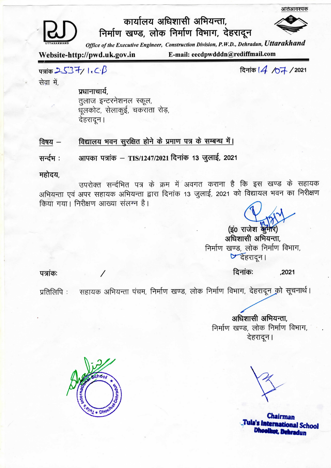

## कार्यालय अधिशासी अभियन्ता,

निर्माण खण्ड, लोक निर्माण विभाग, देहरादून

Office of the Executive Engineer, Construction Division, P.W.D., Dehradun, Uttarakhand

Website-http://pwd.uk.gov.in

E-mail: eecdpwdddn@rediffmail.com

 $\frac{2537}{100}$ 

दिनांक | 4 / 07 / 2021

आतंआवश्यक

सेवा में.

प्रधानाचार्य, तुलाज इन्टरनेशनल स्कूल, धूलकोट, सेलाकुई, चकराता रोड़, देहरादून।

विद्यालय भवन सूरक्षित होने के प्रमाण पत्र के सम्बन्ध में। विषय $-$ 

आपका पत्रांक – TIS/1247/2021 दिनांक 13 जुलाई, 2021 सन्दम:

महोदय,

उपरोक्त सर्न्दभित पत्र के क्रम में अवगत कराना है कि इस खण्ड के सहायक अभियन्ता एवं अपर सहायक अभियन्ता द्वारा दिनांक 13 जुलाई, 2021 को विद्यायल भवन का निरीक्षण किया गया। निरीक्षण आख्या संलग्न है।

(इ0 राजेश कूमेरि) अधिशासी अभियन्ता, निर्माण खण्ड, लोक निर्माण विभाग, ए देहरादून।

पत्रांकः

दिनांकः ,2021

सहायक अभियन्ता पंचम, निर्माण खण्ड, लोक निर्माण विभाग, देहरादून को सूचनार्थ। प्रतिलिपि :

> अधिशासी अभियन्ता, निर्माण खण्ड, लोक निर्माण विभाग, देहरादून।

choo

**Chairman** Tula's International School Dhooth ot. Dehradun